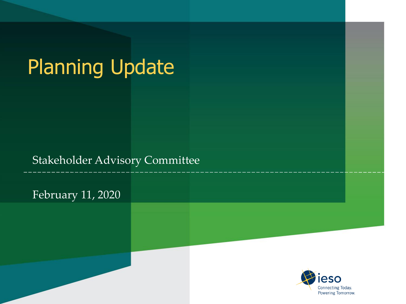# Planning Update

#### Stakeholder Advisory Committee

February 11, 2020

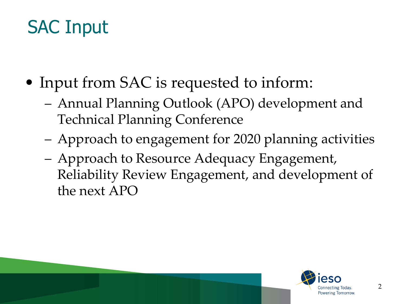# SAC Input

- Input from SAC is requested to inform:
	- Annual Planning Outlook (APO) development and Technical Planning Conference
	- Approach to engagement for 2020 planning activities
	- Approach to Resource Adequacy Engagement, Reliability Review Engagement, and development of the next APO

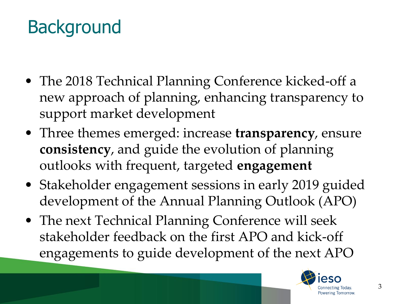# **Background**

- The 2018 Technical Planning Conference kicked-off a new approach of planning, enhancing transparency to support market development
- Three themes emerged: increase **transparency**, ensure **consistency**, and guide the evolution of planning outlooks with frequent, targeted **engagement**
- Stakeholder engagement sessions in early 2019 guided development of the Annual Planning Outlook (APO)
- The next Technical Planning Conference will seek stakeholder feedback on the first APO and kick-off engagements to guide development of the next APO

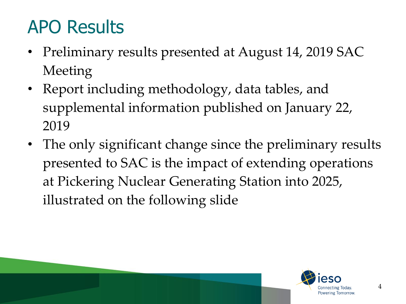# APO Results

- Preliminary results presented at August 14, 2019 SAC Meeting
- Report including methodology, data tables, and supplemental information published on January 22, 2019
- The only significant change since the preliminary results presented to SAC is the impact of extending operations at Pickering Nuclear Generating Station into 2025, illustrated on the following slide

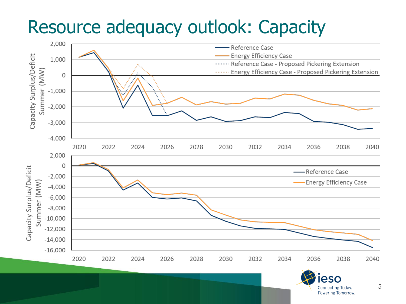#### Resource adequacy outlook: Capacity



5

**Connecting Today.** Powering Tomorrow.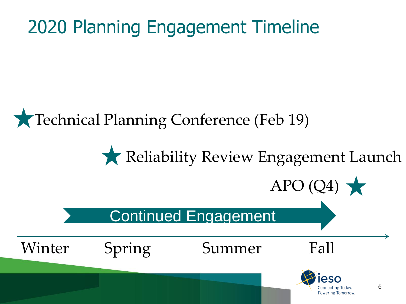# 2020 Planning Engagement Timeline

#### Technical Planning Conference (Feb 19)

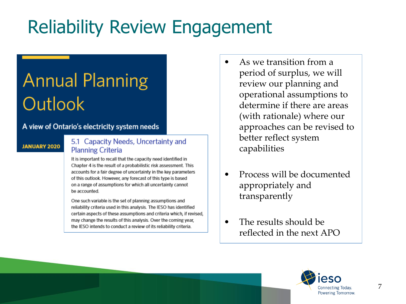# Reliability Review Engagement

# **Annual Planning** Outlook

#### A view of Ontario's electricity system needs

#### **JANUARY 2020**

#### 5.1 Capacity Needs, Uncertainty and **Planning Criteria**

It is important to recall that the capacity need identified in Chapter 4 is the result of a probabilistic risk assessment. This accounts for a fair degree of uncertainty in the key parameters of this outlook. However, any forecast of this type is based on a range of assumptions for which all uncertainty cannot be accounted.

One such variable is the set of planning assumptions and reliability criteria used in this analysis. The IESO has identified certain aspects of these assumptions and criteria which, if revised, may change the results of this analysis. Over the coming year, the IESO intends to conduct a review of its reliability criteria.

- As we transition from a period of surplus, we will review our planning and operational assumptions to determine if there are areas (with rationale) where our approaches can be revised to better reflect system capabilities
- Process will be documented appropriately and transparently
- The results should be reflected in the next APO

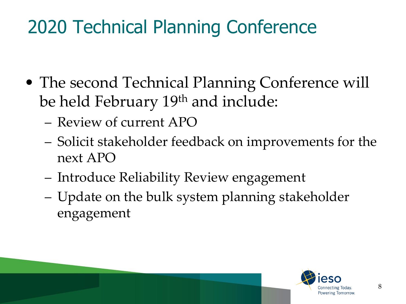# 2020 Technical Planning Conference

- The second Technical Planning Conference will be held February 19th and include:
	- Review of current APO
	- Solicit stakeholder feedback on improvements for the next APO
	- Introduce Reliability Review engagement
	- Update on the bulk system planning stakeholder engagement

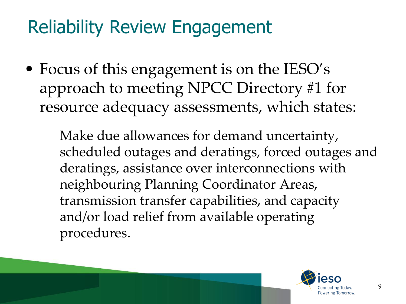# Reliability Review Engagement

• Focus of this engagement is on the IESO's approach to meeting NPCC Directory #1 for resource adequacy assessments, which states:

> Make due allowances for demand uncertainty, scheduled outages and deratings, forced outages and deratings, assistance over interconnections with neighbouring Planning Coordinator Areas, transmission transfer capabilities, and capacity and/or load relief from available operating procedures.

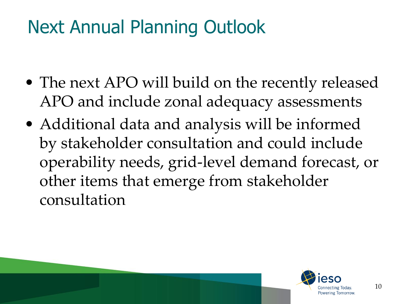# Next Annual Planning Outlook

- The next APO will build on the recently released APO and include zonal adequacy assessments
- Additional data and analysis will be informed by stakeholder consultation and could include operability needs, grid-level demand forecast, or other items that emerge from stakeholder consultation